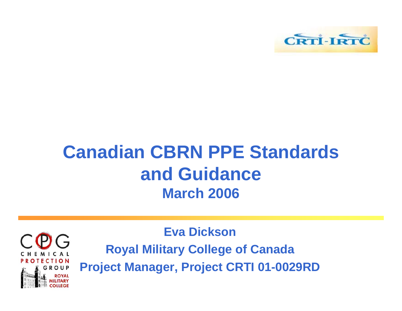

#### **Canadian CBRN PPE Standards and Guidance March 2006**



**Eva DicksonRoyal Military College of Canada Project Manager, Project CRTI 01-0029RD**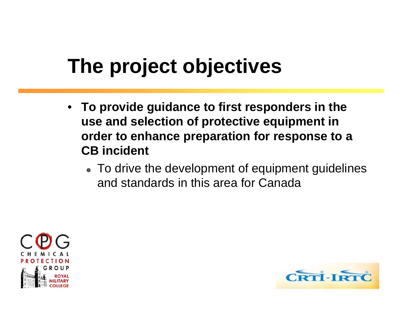# **The project objectives**

- **To provide guidance to first responders in the use and selection of protective equipment in order to enhance preparation for response to a CB incident**
	- **To drive the development of equipment guidelines** and standards in this area for Canada



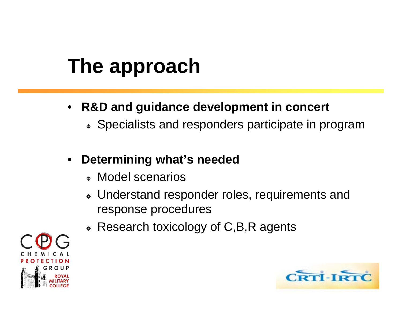## **The approach**

- • **R&D and guidance development in concert**
	- **Specialists and responders participate in program**
- • **Determining what's needed**
	- **Model scenarios**
	- **WID Understand responder roles, requirements and and anally example.** response procedures
	- **Research toxicology of C,B,R agents**



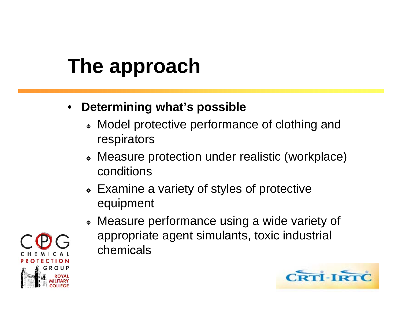# **The approach**

- • **Determining what's possible**
	- **Model protective performance of clothing and** respirators
	- **Measure protection under realistic (workplace)** conditions
	- **Examine a variety of styles of protective** equipment
	- **Measure performance using a wide variety of \*** appropriate agent simulants, toxic industrial chemicals



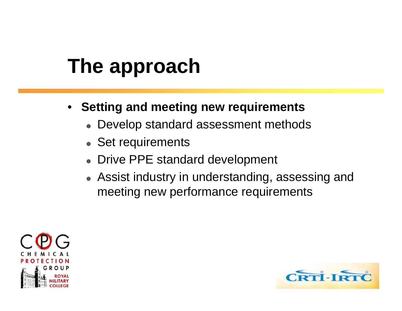#### **The approach**

- **Setting and meeting new requirements**
	- **Develop standard assessment methods**
	- **Set requirements**
	- ₩ Drive PPE standard development
	- **Assist industry in understanding, assessing and #** meeting new performance requirements



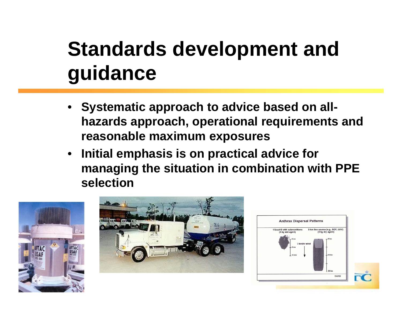#### **Standards development and guidance**

- • **Systematic approach to advice based on allhazards approach, operational requirements and reasonable maximum exposures**
- • **Initial emphasis is on practical advice for managing the situation in combination with PPE selection**





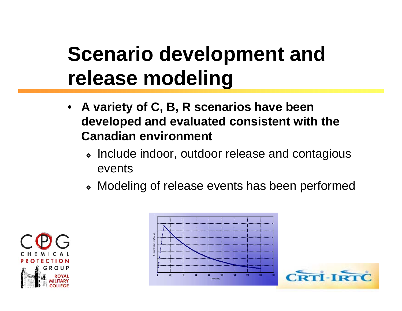#### **Scenario development and release modeling**

- **A variety of C, B, R scenarios have been developed and evaluated consistent with the Canadian environment**
	- **Include indoor, outdoor release and contagious** events
	- **Modeling of release events has been performed**





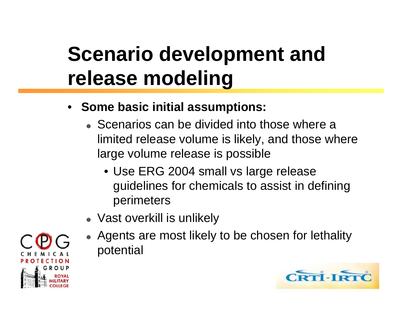## **Scenario development and release modeling**

- **Some basic initial assumptions:**
	- **Scenarios can be divided into those where a** limited release volume is likely, and those where large volume release is possible
		- Use ERG 2004 small vs large release guidelines for chemicals to assist in defining perimeters
	- Vast overkill is unlikely
	- Agents are most likely to be chosen for lethality potential



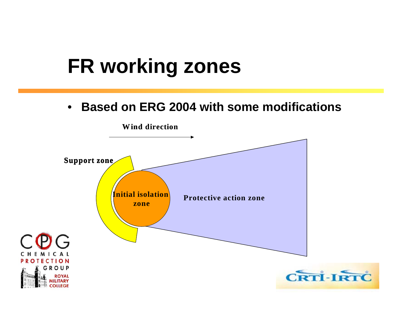#### **FR working zones**

 $\bullet$ **Based on ERG 2004 with some modifications**

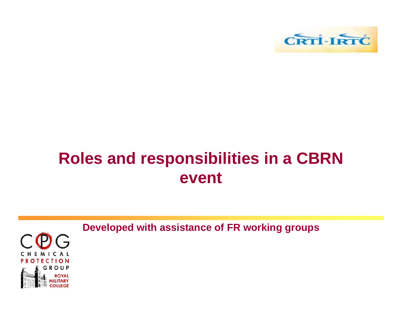

#### **Roles and responsibilities in a CBRN event**



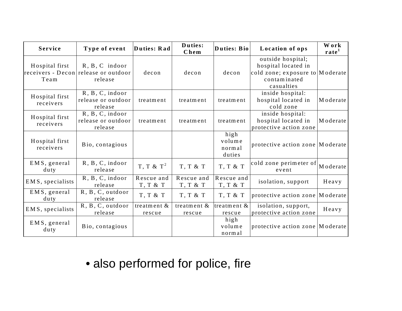| Service                                       | Type of event                                     | Duties: Rad              | Duties:<br>Chem            | Duties: Bio                        | Location of ops                                                                                           | Work<br>rate |
|-----------------------------------------------|---------------------------------------------------|--------------------------|----------------------------|------------------------------------|-----------------------------------------------------------------------------------------------------------|--------------|
| Hospital first<br>$receivers - Decon$<br>Team | $R, B, C$ indoor<br>release or outdoor<br>release | decon                    | decon                      | decon                              | outside hospital;<br>hospital located in<br>cold zone; exposure to Moderate<br>contaminated<br>casualties |              |
| Hospital first<br>receivers                   | R, B, C, indoor<br>release or outdoor<br>release  | treatment                | treatment                  | treatment                          | inside hospital:<br>hospital located in<br>cold zone                                                      | Moderate     |
| Hospital first<br>receivers                   | R, B, C, indoor<br>release or outdoor<br>release  | treatment                | treatment                  | treatment                          | inside hospital:<br>hospital located in<br>protective action zone                                         | Moderate     |
| Hospital first<br>receivers                   | Bio, contagious                                   |                          |                            | high<br>volume<br>normal<br>duties | protective action zone Moderate                                                                           |              |
| EMS, general<br>duty                          | R, B, C, indoor<br>release                        | $T, T \& T^2$            | $T, T \& T$                | T, T & T                           | cold zone perimeter of<br>event                                                                           | Moderate     |
| EMS, specialists                              | R, B, C, indoor<br>release                        | Rescue and<br>T, T & T   | Rescue and<br>$T, T$ & $T$ | Rescue and<br>$T, T \& T$          | isolation, support                                                                                        | Heavy        |
| EMS, general<br>$d$ uty                       | R, B, C, outdoor<br>release                       | T, T & T                 | $T, T \& T$                | $T, T \& T$                        | protective action zone                                                                                    | Moderate     |
| EMS, specialists                              | R, B, C, outdoor<br>release                       | treatment $\&$<br>rescue | treatment $\&$<br>rescue   | treatment $&$<br>rescue            | isolation, support,<br>protective action zone                                                             | Heavy        |
| EMS, general<br>$d$ uty                       | Bio, contagious                                   |                          |                            | high<br>volume<br>normal           | protective action zone   Moderate                                                                         |              |

#### • also performed for police, fire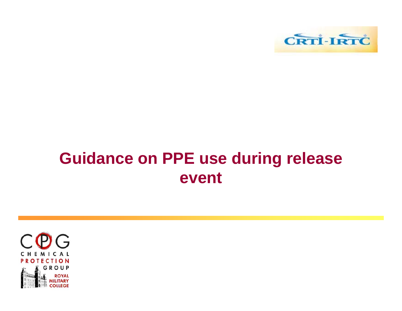

#### **Guidance on PPE use during release event**

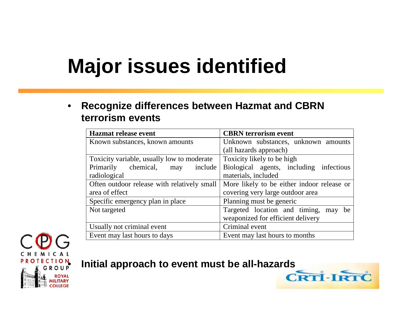#### **Major issues identified**

 $\bullet$  **Recognize differences between Hazmat and CBRN terrorism events**

| <b>Hazmat release event</b>                 | <b>CBRN</b> terrorism event                |  |  |  |
|---------------------------------------------|--------------------------------------------|--|--|--|
| Known substances, known amounts             | Unknown substances, unknown amounts        |  |  |  |
|                                             | (all hazards approach)                     |  |  |  |
| Toxicity variable, usually low to moderate  | Toxicity likely to be high                 |  |  |  |
| Primarily chemical, may<br>include          | Biological agents, including infectious    |  |  |  |
| radiological                                | materials, included                        |  |  |  |
| Often outdoor release with relatively small | More likely to be either indoor release or |  |  |  |
| area of effect                              | covering very large outdoor area           |  |  |  |
| Specific emergency plan in place            | Planning must be generic                   |  |  |  |
| Not targeted                                | Targeted location and timing, may<br>be    |  |  |  |
|                                             | weaponized for efficient delivery          |  |  |  |
| Usually not criminal event                  | Criminal event                             |  |  |  |
| Event may last hours to days                | Event may last hours to months             |  |  |  |



#### **Initial approach to event must be all-hazards**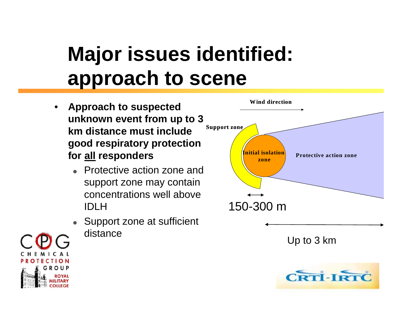## **Major issues identified: approach to scene**

- • **Approach to suspected unknown event from up to 3 km distance must include good respiratory protection for all responders**
	- Protective action zone and support zone may contain concentrations well above IDLH
	- ₩ Support zone at sufficient distance

**ROUF** 



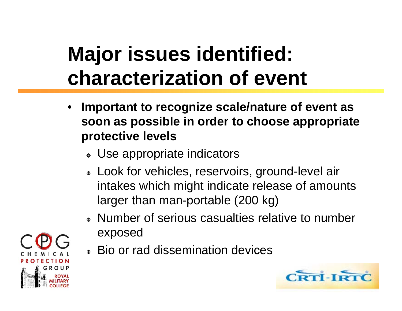#### **Major issues identified: characterization of event**

- • **Important to recognize scale/nature of event as soon as possible in order to choose appropriate protective levels**
	- **WEGE** Use appropriate indicators
	- **Look for vehicles, reservoirs, ground-level air** intakes which might indicate release of amounts larger than man-portable (200 kg)
	- **Number of serious casualties relative to number** exposed
	- **Bio or rad dissemination devices**



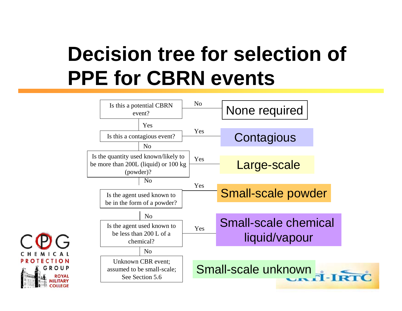#### **Decision tree for selection of PPE for CBRN events**



**ROTECTION** 

GROUP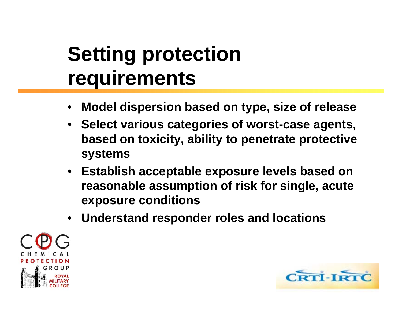#### **Setting protection requirements**

- •**Model dispersion based on type, size of release**
- **Select various categories of worst-case agents, based on toxicity, ability to penetrate protective systems**
- $\bullet$  **Establish acceptable exposure levels based on reasonable assumption of risk for single, acute exposure conditions**
- •**Understand responder roles and locations**



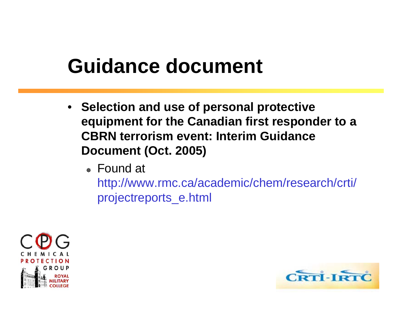#### **Guidance document**

- **Selection and use of personal protective equipment for the Canadian first responder to a CBRN terrorism event: Interim Guidance Document (Oct. 2005)**
	- <sup>●</sup> Found at

http://www.rmc.ca/academic/chem/research/crti/ projectreports\_e.html



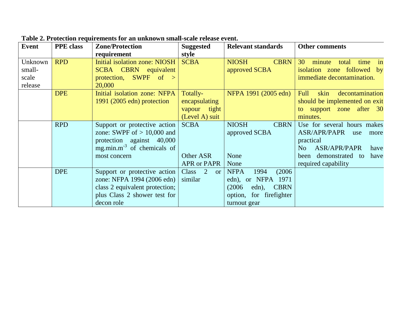|         | Table 2. I follow requirements for an unknown small-stale release event. |                                        |                      |                                  |                                               |
|---------|--------------------------------------------------------------------------|----------------------------------------|----------------------|----------------------------------|-----------------------------------------------|
| Event   | <b>PPE</b> class                                                         | <b>Zone/Protection</b>                 | <b>Suggested</b>     | <b>Relevant standards</b>        | <b>Other comments</b>                         |
|         |                                                                          | requirement                            | style                |                                  |                                               |
| Unknown | <b>RPD</b>                                                               | <b>Initial isolation zone: NIOSH</b>   | <b>SCBA</b>          | <b>CBRN</b><br><b>NIOSH</b>      | 30<br>minute<br>total<br>time<br>in           |
| small-  |                                                                          | <b>SCBA CBRN equivalent</b>            |                      | approved SCBA                    | isolation zone followed by                    |
| scale   |                                                                          | protection, SWPF of $>$                |                      |                                  | immediate decontamination.                    |
| release |                                                                          | 20,000                                 |                      |                                  |                                               |
|         | <b>DPE</b>                                                               | Initial isolation zone: NFPA           | Totally-             | NFPA 1991 (2005 edn)             | Full<br>skin<br>decontamination               |
|         |                                                                          | $1991$ (2005 edn) protection           | encapsulating        |                                  | should be implemented on exit                 |
|         |                                                                          |                                        | vapour tight         |                                  | to support zone after 30                      |
|         |                                                                          |                                        | (Level A) suit       |                                  | minutes.                                      |
|         | <b>RPD</b>                                                               | Support or protective action           | <b>SCBA</b>          | <b>NIOSH</b><br><b>CBRN</b>      | Use for several hours makes                   |
|         |                                                                          | zone: SWPF of $> 10,000$ and           |                      | approved SCBA                    | ASR/APR/PAPR<br>use<br>more                   |
|         |                                                                          | protection against 40,000              |                      |                                  | practical                                     |
|         |                                                                          | mg.min.m <sup>-3</sup> of chemicals of |                      |                                  | <b>ASR/APR/PAPR</b><br>N <sub>o</sub><br>have |
|         |                                                                          | most concern                           | Other ASR            | None                             | demonstrated to<br>have<br>been               |
|         |                                                                          |                                        | <b>APR or PAPR</b>   | None                             | required capability                           |
|         | <b>DPE</b>                                                               | Support or protective action           | Class 2<br><b>or</b> | (2006)<br><b>NFPA</b><br>1994    |                                               |
|         |                                                                          | zone: NFPA 1994 (2006 edn)             | similar              | edn), or NFPA 1971               |                                               |
|         |                                                                          | class 2 equivalent protection;         |                      | <b>CBRN</b><br>(2006)<br>$edn$ , |                                               |
|         |                                                                          | plus Class 2 shower test for           |                      | option, for firefighter          |                                               |
|         |                                                                          | decon role                             |                      | turnout gear                     |                                               |

**Table 2. Protection requirements for an unknown small-scale release event.**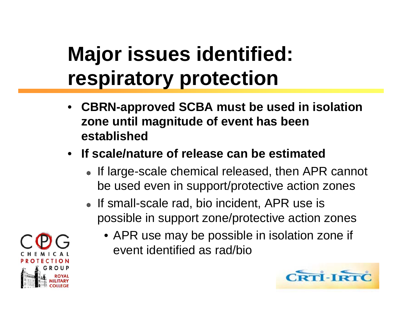## **Major issues identified: respiratory protection**

- • **CBRN-approved SCBA must be used in isolation zone until magnitude of event has been established**
- **If scale/nature of release can be estimated**
	- **If large-scale chemical released, then APR cannot** be used even in support/protective action zones
	- **If small-scale rad, bio incident, APR use is and is** possible in support zone/protective action zones
		- APR use may be possible in isolation zone if event identified as rad/bio



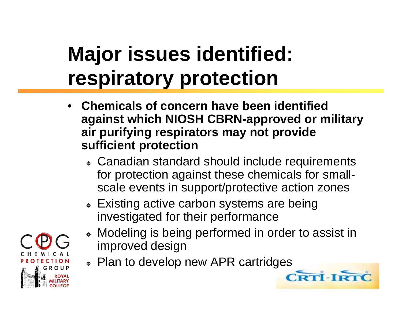## **Major issues identified: respiratory protection**

- • **Chemicals of concern have been identified against which NIOSH CBRN-approved or military air purifying respirators may not provide sufficient protection**
	- **Examadian standard should include requirements** for protection against these chemicals for smallscale events in support/protective action zones
	- **Existing active carbon systems are being** investigated for their performance
	- **Modeling is being performed in order to assist in** improved design
	- Plan to develop new APR cartridges

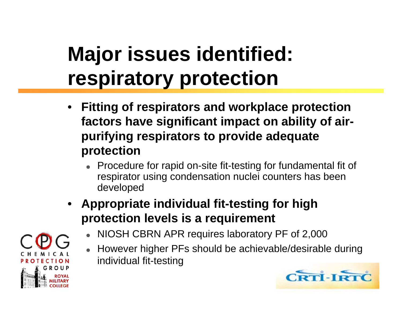# **Major issues identified: respiratory protection**

- • **Fitting of respirators and workplace protection factors have significant impact on ability of airpurifying respirators to provide adequate protection**
	- **EXA)** Procedure for rapid on-site fit-testing for fundamental fit of respirator using condensation nuclei counters has been developed
- • **Appropriate individual fit-testing for high protection levels is a requirement**
	- ₩ NIOSH CBRN APR requires laboratory PF of 2,000
	- ₩ Howev er higher PFs should be achievable/desirable during individual fit-testing

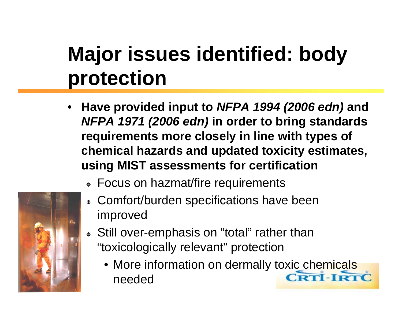## **Major issues identified: body protection**

- • **Have provided input to** *NFPA 1994 (2006 edn)* **and** *NFPA 1971 (2006 edn)* **in order to bring standards requirements more closely in line with types of chemical hazards and updated toxicity estimates, using MIST assessments for certification**
	- **EOCUS on hazmat/fire requirements**
	- **EXECOMFORT/burden specifications have been** improved
	- Still over-emphasis on "total" rather than "toxicologically relevant" protection
		- More information on dermally toxic chemicals **CRTI-IRTC** needed

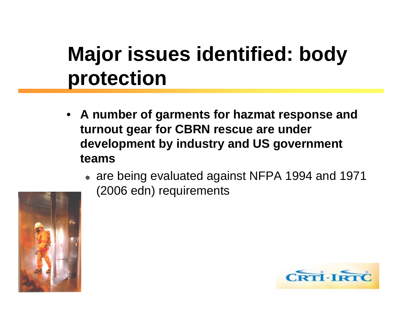#### **Major issues identified: body protection**

- **A number of garments for hazmat response and turnout gear for CBRN rescue are under development by industry and US government teams**
	- <sup>●</sup> are being evaluated against NFPA 1994 and 1971 (2006 edn) requirements



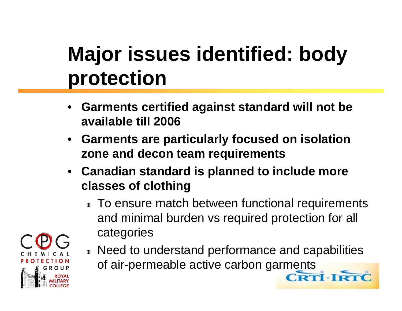## **Major issues identified: body protection**

- • **Garments certified against standard will not be available till 2006**
- • **Garments are particularly focused on isolation zone and decon team requirements**
- **Canadian standard is planned to include more classes of clothing**
	- **To ensure match between functional requirements** and minimal burden vs required protection for all categories



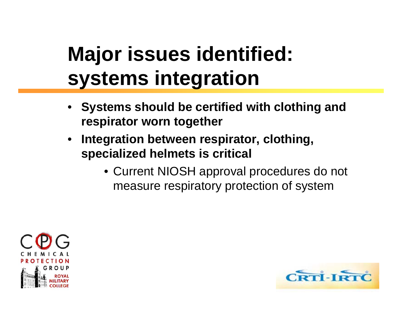#### **Major issues identified: systems integration**

- • **Systems should be certified with clothing and respirator worn together**
- • **Integration between respirator, clothing, specialized helmets is critical**
	- Current NIOSH approval procedures do not measure respiratory protection of system